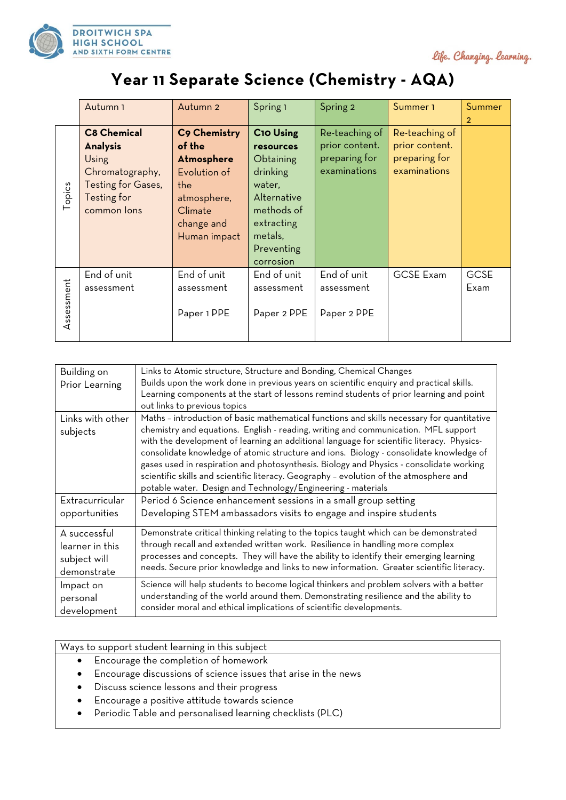

life. Changing. learning.

## **Year 11 Separate Science (Chemistry - AQA)**

|            | Autumn 1           | Autumn 2     | Spring 1         | Spring 2       | Summer <sub>1</sub> | Summer         |
|------------|--------------------|--------------|------------------|----------------|---------------------|----------------|
|            |                    |              |                  |                |                     | $\overline{2}$ |
|            | <b>C8 Chemical</b> | C9 Chemistry | <b>C10 Using</b> | Re-teaching of | Re-teaching of      |                |
|            | <b>Analysis</b>    | of the       | <b>resources</b> | prior content. | prior content.      |                |
|            | Using              | Atmosphere   | Obtaining        | preparing for  | preparing for       |                |
|            | Chromatography,    | Evolution of | drinking         | examinations   | examinations        |                |
|            | Testing for Gases, | the          | water,           |                |                     |                |
| opics<br>⊢ | Testing for        | atmosphere,  | Alternative      |                |                     |                |
|            | common lons        | Climate      | methods of       |                |                     |                |
|            |                    | change and   | extracting       |                |                     |                |
|            |                    | Human impact | metals,          |                |                     |                |
|            |                    |              | Preventing       |                |                     |                |
|            |                    |              | corrosion        |                |                     |                |
| Assessment | End of unit        | End of unit  | End of unit      | End of unit    | <b>GCSE Exam</b>    | <b>GCSE</b>    |
|            | assessment         | assessment   | assessment       | assessment     |                     | Exam           |
|            |                    |              |                  |                |                     |                |
|            |                    | Paper 1 PPE  | Paper 2 PPE      | Paper 2 PPE    |                     |                |
|            |                    |              |                  |                |                     |                |
|            |                    |              |                  |                |                     |                |

| Building on      | Links to Atomic structure, Structure and Bonding, Chemical Changes                         |  |  |  |  |
|------------------|--------------------------------------------------------------------------------------------|--|--|--|--|
| Prior Learning   | Builds upon the work done in previous years on scientific enquiry and practical skills.    |  |  |  |  |
|                  | Learning components at the start of lessons remind students of prior learning and point    |  |  |  |  |
|                  | out links to previous topics                                                               |  |  |  |  |
| Links with other | Maths - introduction of basic mathematical functions and skills necessary for quantitative |  |  |  |  |
| subjects         | chemistry and equations. English - reading, writing and communication. MFL support         |  |  |  |  |
|                  | with the development of learning an additional language for scientific literacy. Physics-  |  |  |  |  |
|                  | consolidate knowledge of atomic structure and ions. Biology - consolidate knowledge of     |  |  |  |  |
|                  | gases used in respiration and photosynthesis. Biology and Physics - consolidate working    |  |  |  |  |
|                  | scientific skills and scientific literacy. Geography - evolution of the atmosphere and     |  |  |  |  |
|                  | potable water. Design and Technology/Engineering - materials                               |  |  |  |  |
| Extracurricular  | Period 6 Science enhancement sessions in a small group setting                             |  |  |  |  |
| opportunities    | Developing STEM ambassadors visits to engage and inspire students                          |  |  |  |  |
|                  |                                                                                            |  |  |  |  |
| A successful     | Demonstrate critical thinking relating to the topics taught which can be demonstrated      |  |  |  |  |
| learner in this  | through recall and extended written work. Resilience in handling more complex              |  |  |  |  |
| subject will     | processes and concepts. They will have the ability to identify their emerging learning     |  |  |  |  |
| demonstrate      | needs. Secure prior knowledge and links to new information. Greater scientific literacy.   |  |  |  |  |
| Impact on        | Science will help students to become logical thinkers and problem solvers with a better    |  |  |  |  |
| personal         | understanding of the world around them. Demonstrating resilience and the ability to        |  |  |  |  |
| development      | consider moral and ethical implications of scientific developments.                        |  |  |  |  |

Ways to support student learning in this subject

- Encourage the completion of homework
- Encourage discussions of science issues that arise in the news
- Discuss science lessons and their progress
- Encourage a positive attitude towards science
- Periodic Table and personalised learning checklists (PLC)